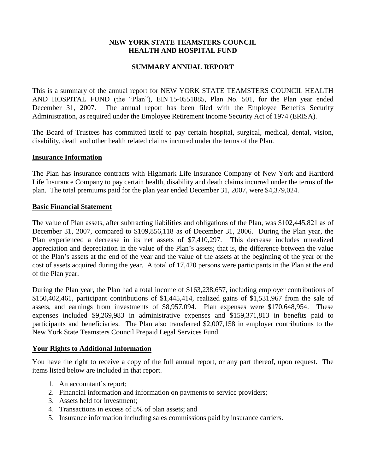# **NEW YORK STATE TEAMSTERS COUNCIL HEALTH AND HOSPITAL FUND**

# **SUMMARY ANNUAL REPORT**

This is a summary of the annual report for NEW YORK STATE TEAMSTERS COUNCIL HEALTH AND HOSPITAL FUND (the "Plan"), EIN 15-0551885, Plan No. 501, for the Plan year ended December 31, 2007. The annual report has been filed with the Employee Benefits Security Administration, as required under the Employee Retirement Income Security Act of 1974 (ERISA).

The Board of Trustees has committed itself to pay certain hospital, surgical, medical, dental, vision, disability, death and other health related claims incurred under the terms of the Plan.

#### **Insurance Information**

The Plan has insurance contracts with Highmark Life Insurance Company of New York and Hartford Life Insurance Company to pay certain health, disability and death claims incurred under the terms of the plan. The total premiums paid for the plan year ended December 31, 2007, were \$4,379,024.

### **Basic Financial Statement**

The value of Plan assets, after subtracting liabilities and obligations of the Plan, was \$102,445,821 as of December 31, 2007, compared to \$109,856,118 as of December 31, 2006. During the Plan year, the Plan experienced a decrease in its net assets of \$7,410,297. This decrease includes unrealized appreciation and depreciation in the value of the Plan's assets; that is, the difference between the value of the Plan's assets at the end of the year and the value of the assets at the beginning of the year or the cost of assets acquired during the year. A total of 17,420 persons were participants in the Plan at the end of the Plan year.

During the Plan year, the Plan had a total income of \$163,238,657, including employer contributions of \$150,402,461, participant contributions of \$1,445,414, realized gains of \$1,531,967 from the sale of assets, and earnings from investments of \$8,957,094. Plan expenses were \$170,648,954. These expenses included \$9,269,983 in administrative expenses and \$159,371,813 in benefits paid to participants and beneficiaries. The Plan also transferred \$2,007,158 in employer contributions to the New York State Teamsters Council Prepaid Legal Services Fund.

### **Your Rights to Additional Information**

You have the right to receive a copy of the full annual report, or any part thereof, upon request. The items listed below are included in that report.

- 1. An accountant's report;
- 2. Financial information and information on payments to service providers;
- 3. Assets held for investment;
- 4. Transactions in excess of 5% of plan assets; and
- 5. Insurance information including sales commissions paid by insurance carriers.